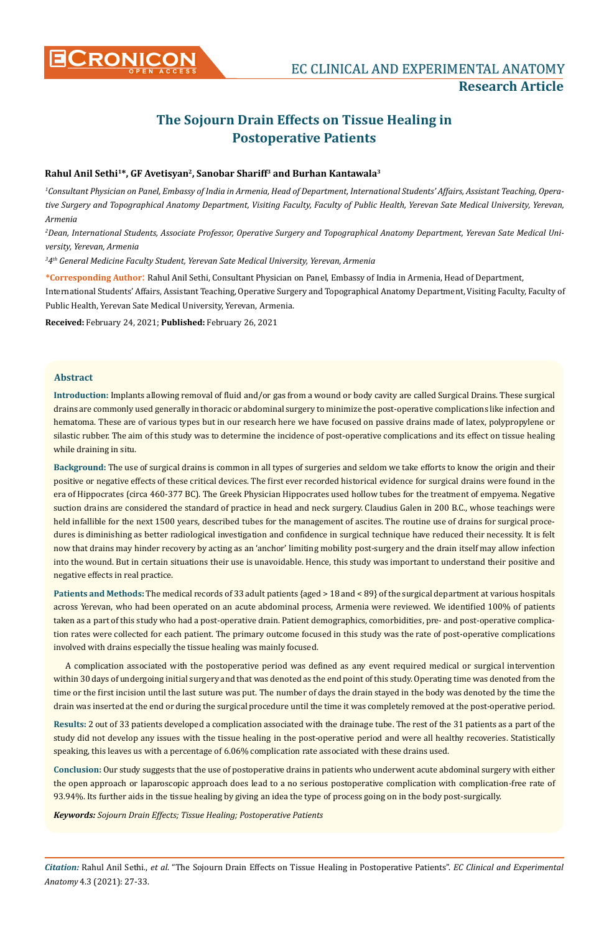

# **The Sojourn Drain Effects on Tissue Healing in Postoperative Patients**

# **Rahul Anil Sethi1\*, GF Avetisyan2, Sanobar Shariff3 and Burhan Kantawala3**

*1 Consultant Physician on Panel, Embassy of India in Armenia, Head of Department, International Students' Affairs, Assistant Teaching, Operative Surgery and Topographical Anatomy Department, Visiting Faculty, Faculty of Public Health, Yerevan Sate Medical University, Yerevan, Armenia*

*2 Dean, International Students, Associate Professor, Operative Surgery and Topographical Anatomy Department, Yerevan Sate Medical University, Yerevan, Armenia*

*3 4th General Medicine Faculty Student, Yerevan Sate Medical University, Yerevan, Armenia*

**\*Corresponding Author**: Rahul Anil Sethi, Consultant Physician on Panel, Embassy of India in Armenia, Head of Department,

International Students' Affairs, Assistant Teaching, Operative Surgery and Topographical Anatomy Department, Visiting Faculty, Faculty of Public Health, Yerevan Sate Medical University, Yerevan, Armenia.

**Received:** February 24, 2021; **Published:** February 26, 2021

# **Abstract**

**Introduction:** Implants allowing removal of fluid and/or gas from a wound or body cavity are called Surgical Drains. These surgical drains are commonly used generally in thoracic or abdominal surgery to minimize the post-operative complications like infection and hematoma. These are of various types but in our research here we have focused on passive drains made of latex, polypropylene or silastic rubber. The aim of this study was to determine the incidence of post-operative complications and its effect on tissue healing while draining in situ.

**Background:** The use of surgical drains is common in all types of surgeries and seldom we take efforts to know the origin and their positive or negative effects of these critical devices. The first ever recorded historical evidence for surgical drains were found in the era of Hippocrates (circa 460-377 BC). The Greek Physician Hippocrates used hollow tubes for the treatment of empyema. Negative suction drains are considered the standard of practice in head and neck surgery. Claudius Galen in 200 B.C., whose teachings were held infallible for the next 1500 years, described tubes for the management of ascites. The routine use of drains for surgical procedures is diminishing as better radiological investigation and confidence in surgical technique have reduced their necessity. It is felt now that drains may hinder recovery by acting as an 'anchor' limiting mobility post-surgery and the drain itself may allow infection into the wound. But in certain situations their use is unavoidable. Hence, this study was important to understand their positive and negative effects in real practice.

**Patients and Methods:** The medical records of 33 adult patients {aged > 18 and < 89} of the surgical department at various hospitals across Yerevan, who had been operated on an acute abdominal process, Armenia were reviewed. We identified 100% of patients taken as a part of this study who had a post-operative drain. Patient demographics, comorbidities, pre- and post-operative complication rates were collected for each patient. The primary outcome focused in this study was the rate of post-operative complications involved with drains especially the tissue healing was mainly focused.

A complication associated with the postoperative period was defined as any event required medical or surgical intervention within 30 days of undergoing initial surgery and that was denoted as the end point of this study. Operating time was denoted from the time or the first incision until the last suture was put. The number of days the drain stayed in the body was denoted by the time the drain was inserted at the end or during the surgical procedure until the time it was completely removed at the post-operative period.

**Results:** 2 out of 33 patients developed a complication associated with the drainage tube. The rest of the 31 patients as a part of the study did not develop any issues with the tissue healing in the post-operative period and were all healthy recoveries. Statistically speaking, this leaves us with a percentage of 6.06% complication rate associated with these drains used.

**Conclusion:** Our study suggests that the use of postoperative drains in patients who underwent acute abdominal surgery with either the open approach or laparoscopic approach does lead to a no serious postoperative complication with complication-free rate of 93.94%. Its further aids in the tissue healing by giving an idea the type of process going on in the body post-surgically.

*Keywords: Sojourn Drain Effects; Tissue Healing; Postoperative Patients*

*Citation:* Rahul Anil Sethi., *et al*. "The Sojourn Drain Effects on Tissue Healing in Postoperative Patients". *EC Clinical and Experimental Anatomy* 4.3 (2021): 27-33.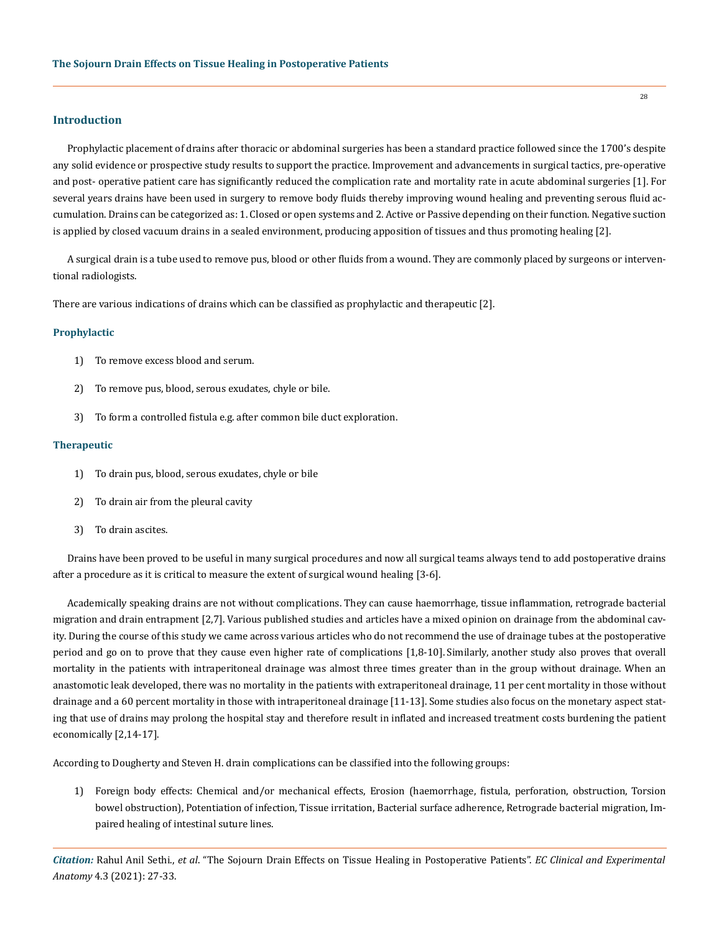## **Introduction**

Prophylactic placement of drains after thoracic or abdominal surgeries has been a standard practice followed since the 1700's despite any solid evidence or prospective study results to support the practice. Improvement and advancements in surgical tactics, pre-operative and post- operative patient care has significantly reduced the complication rate and mortality rate in acute abdominal surgeries [1]. For several years drains have been used in surgery to remove body fluids thereby improving wound healing and preventing serous fluid accumulation. Drains can be categorized as: 1. Closed or open systems and 2. Active or Passive depending on their function. Negative suction is applied by closed vacuum drains in a sealed environment, producing apposition of tissues and thus promoting healing [2].

A surgical drain is a tube used to remove pus, blood or other fluids from a wound. They are commonly placed by surgeons or interventional radiologists.

There are various indications of drains which can be classified as prophylactic and therapeutic [2].

#### **Prophylactic**

- 1) To remove excess blood and serum.
- 2) To remove pus, blood, serous exudates, chyle or bile.
- 3) To form a controlled fistula e.g. after common bile duct exploration.

#### **Therapeutic**

- 1) To drain pus, blood, serous exudates, chyle or bile
- 2) To drain air from the pleural cavity
- 3) To drain ascites.

Drains have been proved to be useful in many surgical procedures and now all surgical teams always tend to add postoperative drains after a procedure as it is critical to measure the extent of surgical wound healing [3-6].

Academically speaking drains are not without complications. They can cause haemorrhage, tissue inflammation, retrograde bacterial migration and drain entrapment [2,7]. Various published studies and articles have a mixed opinion on drainage from the abdominal cavity. During the course of this study we came across various articles who do not recommend the use of drainage tubes at the postoperative period and go on to prove that they cause even higher rate of complications [1,8-10]. Similarly, another study also proves that overall mortality in the patients with intraperitoneal drainage was almost three times greater than in the group without drainage. When an anastomotic leak developed, there was no mortality in the patients with extraperitoneal drainage, 11 per cent mortality in those without drainage and a 60 percent mortality in those with intraperitoneal drainage [11-13]. Some studies also focus on the monetary aspect stating that use of drains may prolong the hospital stay and therefore result in inflated and increased treatment costs burdening the patient economically [2,14-17].

According to Dougherty and Steven H. drain complications can be classified into the following groups:

1) Foreign body effects: Chemical and/or mechanical effects, Erosion (haemorrhage, fistula, perforation, obstruction, Torsion bowel obstruction), Potentiation of infection, Tissue irritation, Bacterial surface adherence, Retrograde bacterial migration, Impaired healing of intestinal suture lines.

*Citation:* Rahul Anil Sethi., *et al*. "The Sojourn Drain Effects on Tissue Healing in Postoperative Patients". *EC Clinical and Experimental Anatomy* 4.3 (2021): 27-33.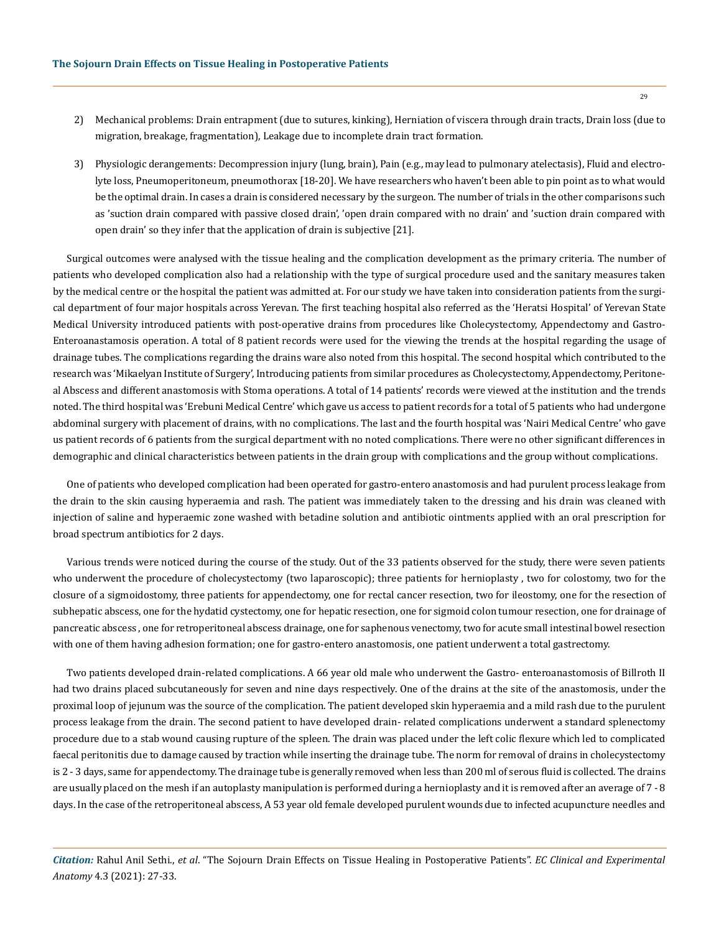- 2) Mechanical problems: Drain entrapment (due to sutures, kinking), Herniation of viscera through drain tracts, Drain loss (due to migration, breakage, fragmentation), Leakage due to incomplete drain tract formation.
- 3) Physiologic derangements: Decompression injury (lung, brain), Pain (e.g., may lead to pulmonary atelectasis), Fluid and electrolyte loss, Pneumoperitoneum, pneumothorax [18-20]. We have researchers who haven't been able to pin point as to what would be the optimal drain. In cases a drain is considered necessary by the surgeon. The number of trials in the other comparisons such as 'suction drain compared with passive closed drain', 'open drain compared with no drain' and 'suction drain compared with open drain' so they infer that the application of drain is subjective [21].

Surgical outcomes were analysed with the tissue healing and the complication development as the primary criteria. The number of patients who developed complication also had a relationship with the type of surgical procedure used and the sanitary measures taken by the medical centre or the hospital the patient was admitted at. For our study we have taken into consideration patients from the surgical department of four major hospitals across Yerevan. The first teaching hospital also referred as the 'Heratsi Hospital' of Yerevan State Medical University introduced patients with post-operative drains from procedures like Cholecystectomy, Appendectomy and Gastro-Enteroanastamosis operation. A total of 8 patient records were used for the viewing the trends at the hospital regarding the usage of drainage tubes. The complications regarding the drains ware also noted from this hospital. The second hospital which contributed to the research was 'Mikaelyan Institute of Surgery', Introducing patients from similar procedures as Cholecystectomy, Appendectomy, Peritoneal Abscess and different anastomosis with Stoma operations. A total of 14 patients' records were viewed at the institution and the trends noted. The third hospital was 'Erebuni Medical Centre' which gave us access to patient records for a total of 5 patients who had undergone abdominal surgery with placement of drains, with no complications. The last and the fourth hospital was 'Nairi Medical Centre' who gave us patient records of 6 patients from the surgical department with no noted complications. There were no other significant differences in demographic and clinical characteristics between patients in the drain group with complications and the group without complications.

One of patients who developed complication had been operated for gastro-entero anastomosis and had purulent process leakage from the drain to the skin causing hyperaemia and rash. The patient was immediately taken to the dressing and his drain was cleaned with injection of saline and hyperaemic zone washed with betadine solution and antibiotic ointments applied with an oral prescription for broad spectrum antibiotics for 2 days.

Various trends were noticed during the course of the study. Out of the 33 patients observed for the study, there were seven patients who underwent the procedure of cholecystectomy (two laparoscopic); three patients for hernioplasty , two for colostomy, two for the closure of a sigmoidostomy, three patients for appendectomy, one for rectal cancer resection, two for ileostomy, one for the resection of subhepatic abscess, one for the hydatid cystectomy, one for hepatic resection, one for sigmoid colon tumour resection, one for drainage of pancreatic abscess , one for retroperitoneal abscess drainage, one for saphenous venectomy, two for acute small intestinal bowel resection with one of them having adhesion formation; one for gastro-entero anastomosis, one patient underwent a total gastrectomy.

Two patients developed drain-related complications. A 66 year old male who underwent the Gastro- enteroanastomosis of Billroth II had two drains placed subcutaneously for seven and nine days respectively. One of the drains at the site of the anastomosis, under the proximal loop of jejunum was the source of the complication. The patient developed skin hyperaemia and a mild rash due to the purulent process leakage from the drain. The second patient to have developed drain- related complications underwent a standard splenectomy procedure due to a stab wound causing rupture of the spleen. The drain was placed under the left colic flexure which led to complicated faecal peritonitis due to damage caused by traction while inserting the drainage tube. The norm for removal of drains in cholecystectomy is 2 - 3 days, same for appendectomy. The drainage tube is generally removed when less than 200 ml of serous fluid is collected. The drains are usually placed on the mesh if an autoplasty manipulation is performed during a hernioplasty and it is removed after an average of 7 - 8 days. In the case of the retroperitoneal abscess, A 53 year old female developed purulent wounds due to infected acupuncture needles and

*Citation:* Rahul Anil Sethi., *et al*. "The Sojourn Drain Effects on Tissue Healing in Postoperative Patients". *EC Clinical and Experimental Anatomy* 4.3 (2021): 27-33.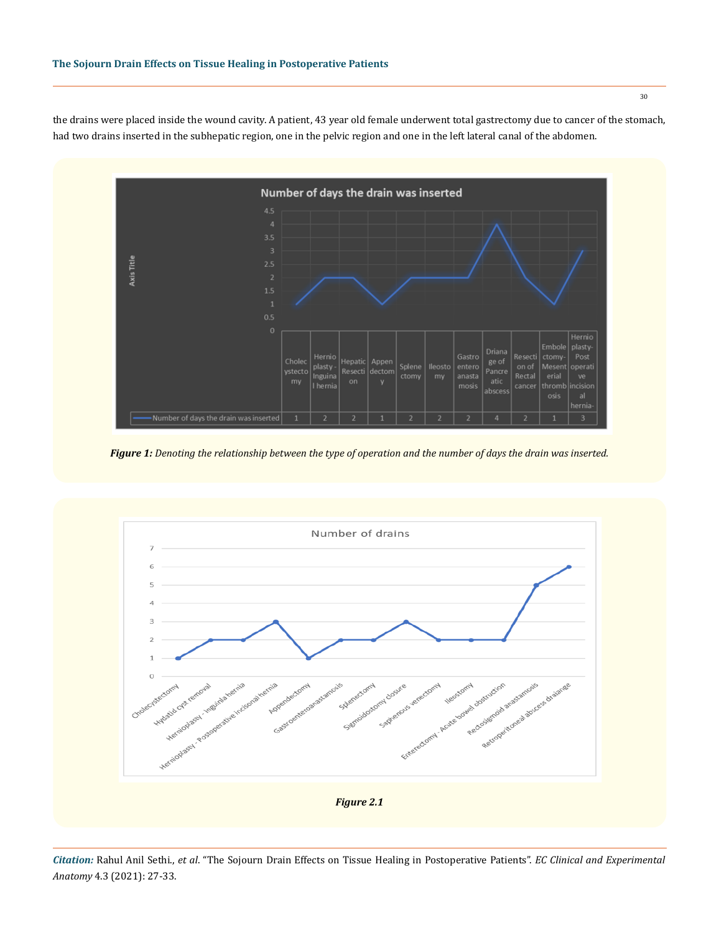

the drains were placed inside the wound cavity. A patient, 43 year old female underwent total gastrectomy due to cancer of the stomach, had two drains inserted in the subhepatic region, one in the pelvic region and one in the left lateral canal of the abdomen.

*Figure 1: Denoting the relationship between the type of operation and the number of days the drain was inserted.*

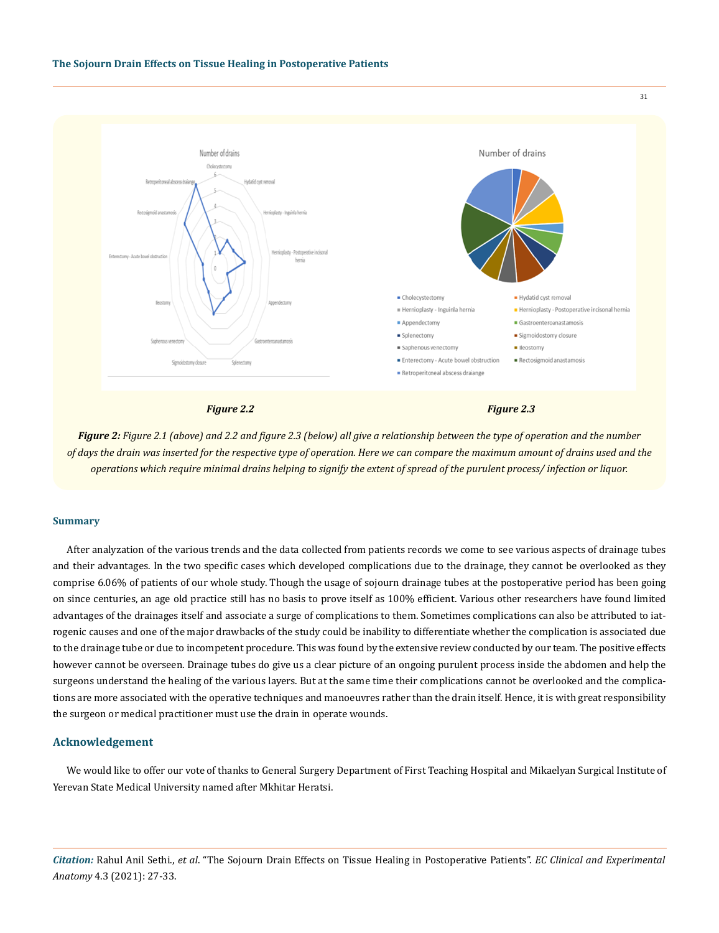

*Figure 2: Figure 2.1 (above) and 2.2 and figure 2.3 (below) all give a relationship between the type of operation and the number of days the drain was inserted for the respective type of operation. Here we can compare the maximum amount of drains used and the operations which require minimal drains helping to signify the extent of spread of the purulent process/ infection or liquor.*

#### **Summary**

After analyzation of the various trends and the data collected from patients records we come to see various aspects of drainage tubes and their advantages. In the two specific cases which developed complications due to the drainage, they cannot be overlooked as they comprise 6.06% of patients of our whole study. Though the usage of sojourn drainage tubes at the postoperative period has been going on since centuries, an age old practice still has no basis to prove itself as 100% efficient. Various other researchers have found limited advantages of the drainages itself and associate a surge of complications to them. Sometimes complications can also be attributed to iatrogenic causes and one of the major drawbacks of the study could be inability to differentiate whether the complication is associated due to the drainage tube or due to incompetent procedure. This was found by the extensive review conducted by our team. The positive effects however cannot be overseen. Drainage tubes do give us a clear picture of an ongoing purulent process inside the abdomen and help the surgeons understand the healing of the various layers. But at the same time their complications cannot be overlooked and the complications are more associated with the operative techniques and manoeuvres rather than the drain itself. Hence, it is with great responsibility the surgeon or medical practitioner must use the drain in operate wounds.

## **Acknowledgement**

We would like to offer our vote of thanks to General Surgery Department of First Teaching Hospital and Mikaelyan Surgical Institute of Yerevan State Medical University named after Mkhitar Heratsi.

*Citation:* Rahul Anil Sethi., *et al*. "The Sojourn Drain Effects on Tissue Healing in Postoperative Patients". *EC Clinical and Experimental Anatomy* 4.3 (2021): 27-33.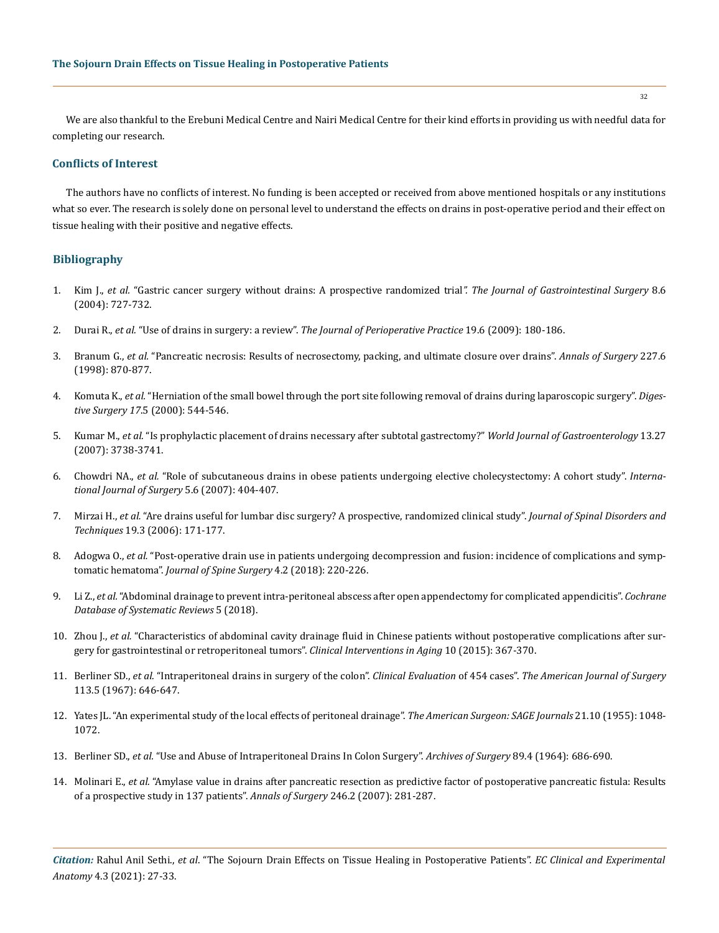We are also thankful to the Erebuni Medical Centre and Nairi Medical Centre for their kind efforts in providing us with needful data for completing our research.

# **Conflicts of Interest**

The authors have no conflicts of interest. No funding is been accepted or received from above mentioned hospitals or any institutions what so ever. The research is solely done on personal level to understand the effects on drains in post-operative period and their effect on tissue healing with their positive and negative effects.

# **Bibliography**

- 1. Kim J., *et al.* ["Gastric cancer surgery without drains: A prospective randomized trial](https://www.sciencedirect.com/science/article/abs/pii/S1091255X04002501)*". The Journal of Gastrointestinal Surgery* 8.6 [\(2004\): 727-732.](https://www.sciencedirect.com/science/article/abs/pii/S1091255X04002501)
- 2. Durai R., *et al.* "Use of drains in surgery: a review". *[The Journal of Perioperative Practice](https://pubmed.ncbi.nlm.nih.gov/19591322/)* 19.6 (2009): 180-186.
- 3. Branum G., *et al.* ["Pancreatic necrosis: Results of necrosectomy, packing, and ultimate closure over drains".](https://www.ncbi.nlm.nih.gov/pmc/articles/PMC1191394/) *Annals of Surgery* 227.6 [\(1998\): 870-877.](https://www.ncbi.nlm.nih.gov/pmc/articles/PMC1191394/)
- 4. Komuta K., *et al.* ["Herniation of the small bowel through the port site following removal of drains during laparoscopic surgery".](https://pubmed.ncbi.nlm.nih.gov/11124568/) *Digestive Surgery 17*[.5 \(2000\): 544-546.](https://pubmed.ncbi.nlm.nih.gov/11124568/)
- 5. Kumar M., *et al.* ["Is prophylactic placement of drains necessary after subtotal gastrectomy?"](https://pubmed.ncbi.nlm.nih.gov/17659736/) *World Journal of Gastroenterology* 13.27 [\(2007\): 3738-3741.](https://pubmed.ncbi.nlm.nih.gov/17659736/)
- 6. Chowdri NA., *et al.* ["Role of subcutaneous drains in obese patients undergoing elective cholecystectomy: A cohort study".](https://www.sciencedirect.com/science/article/pii/S1743919107001045) *Interna[tional Journal of Surgery](https://www.sciencedirect.com/science/article/pii/S1743919107001045)* 5.6 (2007): 404-407.
- 7. Mirzai H., *et al.* ["Are drains useful for lumbar disc surgery? A prospective, randomized clinical study".](https://pubmed.ncbi.nlm.nih.gov/16770213/) *Journal of Spinal Disorders and Techniques* [19.3 \(2006\): 171-177.](https://pubmed.ncbi.nlm.nih.gov/16770213/)
- 8. Adogwa O., *et al.* ["Post-operative drain use in patients undergoing decompression and fusion: incidence of complications and symp](https://jss.amegroups.com/article/view/4175/4709)tomatic hematoma". *[Journal of Spine Surgery](https://jss.amegroups.com/article/view/4175/4709)* 4.2 (2018): 220-226.
- 9. Li Z., *et al.* ["Abdominal drainage to prevent intra-peritoneal abscess after open appendectomy for complicated appendicitis".](https://pubmed.ncbi.nlm.nih.gov/29741752/) *Cochrane [Database of Systematic Reviews](https://pubmed.ncbi.nlm.nih.gov/29741752/)* 5 (2018).
- 10. Zhou J., *et al.* ["Characteristics of abdominal cavity drainage fluid in Chinese patients without postoperative complications after sur](https://pubmed.ncbi.nlm.nih.gov/25670893/)[gery for gastrointestinal or retroperitoneal tumors".](https://pubmed.ncbi.nlm.nih.gov/25670893/) *Clinical Interventions in Aging* 10 (2015): 367-370.
- 11. Berliner SD., *et al.* ["Intraperitoneal drains in surgery of the colon".](https://pubmed.ncbi.nlm.nih.gov/6021437/) *Clinical Evaluation* of 454 cases". *The American Journal of Surgery*  [113.5 \(1967\): 646-647.](https://pubmed.ncbi.nlm.nih.gov/6021437/)
- 12. [Yates JL. "An experimental study of the local effects of peritoneal drainage".](https://pubmed.ncbi.nlm.nih.gov/13259118/) *The American Surgeon: SAGE Journals* 21.10 (1955): 1048- [1072.](https://pubmed.ncbi.nlm.nih.gov/13259118/)
- 13. Berliner SD., *et al.* ["Use and Abuse of Intraperitoneal Drains In Colon Surgery".](https://pubmed.ncbi.nlm.nih.gov/14186803/) *Archives of Surgery* 89.4 (1964): 686-690.
- 14. Molinari E., *et al.* ["Amylase value in drains after pancreatic resection as predictive factor of postoperative pancreatic fistula: Results](https://pubmed.ncbi.nlm.nih.gov/17667507/) [of a prospective study in 137 patients".](https://pubmed.ncbi.nlm.nih.gov/17667507/) *Annals of Surgery* 246.2 (2007): 281-287.

*Citation:* Rahul Anil Sethi., *et al*. "The Sojourn Drain Effects on Tissue Healing in Postoperative Patients". *EC Clinical and Experimental Anatomy* 4.3 (2021): 27-33.